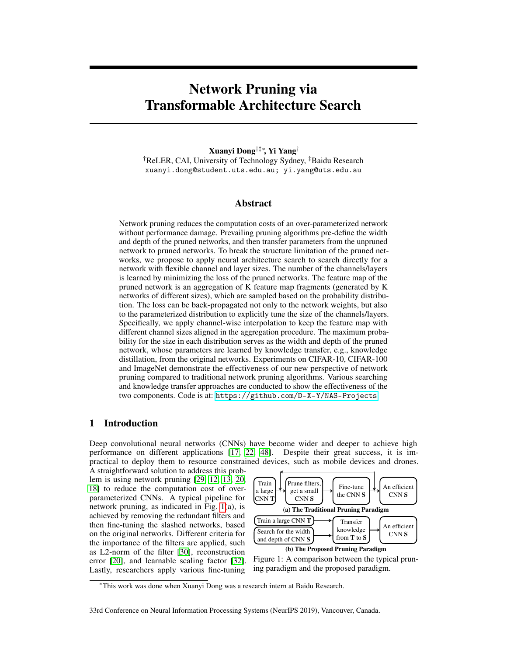# Network Pruning via Transformable Architecture Search

## Xuanyi Dong†‡∗, Yi Yang†

†ReLER, CAI, University of Technology Sydney, ‡Baidu Research xuanyi.dong@student.uts.edu.au; yi.yang@uts.edu.au

### Abstract

Network pruning reduces the computation costs of an over-parameterized network without performance damage. Prevailing pruning algorithms pre-define the width and depth of the pruned networks, and then transfer parameters from the unpruned network to pruned networks. To break the structure limitation of the pruned networks, we propose to apply neural architecture search to search directly for a network with flexible channel and layer sizes. The number of the channels/layers is learned by minimizing the loss of the pruned networks. The feature map of the pruned network is an aggregation of K feature map fragments (generated by K networks of different sizes), which are sampled based on the probability distribution. The loss can be back-propagated not only to the network weights, but also to the parameterized distribution to explicitly tune the size of the channels/layers. Specifically, we apply channel-wise interpolation to keep the feature map with different channel sizes aligned in the aggregation procedure. The maximum probability for the size in each distribution serves as the width and depth of the pruned network, whose parameters are learned by knowledge transfer, e.g., knowledge distillation, from the original networks. Experiments on CIFAR-10, CIFAR-100 and ImageNet demonstrate the effectiveness of our new perspective of network pruning compared to traditional network pruning algorithms. Various searching and knowledge transfer approaches are conducted to show the effectiveness of the two components. Code is at: <https://github.com/D-X-Y/NAS-Projects>.

# 1 Introduction

Deep convolutional neural networks (CNNs) have become wider and deeper to achieve high performance on different applications [17, 22, 48]. Despite their great success, it is impractical to deploy them to resource constrained devices, such as mobile devices and drones.

A straightforward solution to address this problem is using network pruning [29, 12, 13, 20, 18] to reduce the computation cost of overparameterized CNNs. A typical pipeline for network pruning, as indicated in Fig. 1(a), is achieved by removing the redundant filters and then fine-tuning the slashed networks, based on the original networks. Different criteria for the importance of the filters are applied, such as L2-norm of the filter [30], reconstruction error [20], and learnable scaling factor [32]. Lastly, researchers apply various fine-tuning





<sup>∗</sup>This work was done when Xuanyi Dong was a research intern at Baidu Research.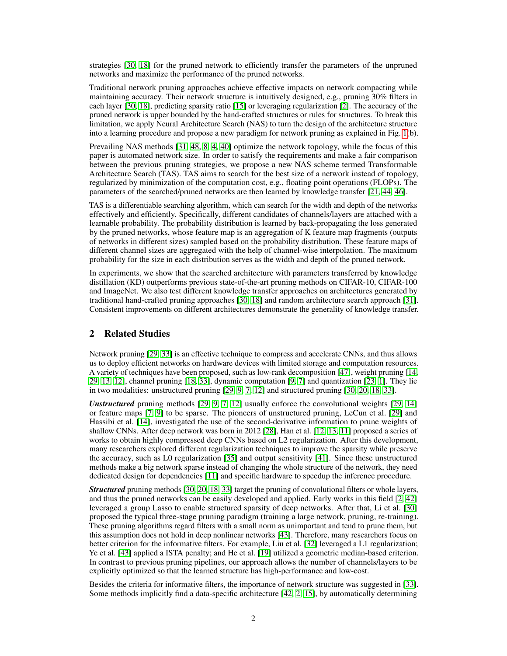strategies [30, 18] for the pruned network to efficiently transfer the parameters of the unpruned networks and maximize the performance of the pruned networks.

Traditional network pruning approaches achieve effective impacts on network compacting while maintaining accuracy. Their network structure is intuitively designed, e.g., pruning 30% filters in each layer [30, 18], predicting sparsity ratio [15] or leveraging regularization [2]. The accuracy of the pruned network is upper bounded by the hand-crafted structures or rules for structures. To break this limitation, we apply Neural Architecture Search (NAS) to turn the design of the architecture structure into a learning procedure and propose a new paradigm for network pruning as explained in Fig. 1(b).

Prevailing NAS methods [31, 48, 8, 4, 40] optimize the network topology, while the focus of this paper is automated network size. In order to satisfy the requirements and make a fair comparison between the previous pruning strategies, we propose a new NAS scheme termed Transformable Architecture Search (TAS). TAS aims to search for the best size of a network instead of topology, regularized by minimization of the computation cost, e.g., floating point operations (FLOPs). The parameters of the searched/pruned networks are then learned by knowledge transfer [21, 44, 46].

TAS is a differentiable searching algorithm, which can search for the width and depth of the networks effectively and efficiently. Specifically, different candidates of channels/layers are attached with a learnable probability. The probability distribution is learned by back-propagating the loss generated by the pruned networks, whose feature map is an aggregation of K feature map fragments (outputs of networks in different sizes) sampled based on the probability distribution. These feature maps of different channel sizes are aggregated with the help of channel-wise interpolation. The maximum probability for the size in each distribution serves as the width and depth of the pruned network.

In experiments, we show that the searched architecture with parameters transferred by knowledge distillation (KD) outperforms previous state-of-the-art pruning methods on CIFAR-10, CIFAR-100 and ImageNet. We also test different knowledge transfer approaches on architectures generated by traditional hand-crafted pruning approaches [30, 18] and random architecture search approach [31]. Consistent improvements on different architectures demonstrate the generality of knowledge transfer.

# 2 Related Studies

Network pruning [29, 33] is an effective technique to compress and accelerate CNNs, and thus allows us to deploy efficient networks on hardware devices with limited storage and computation resources. A variety of techniques have been proposed, such as low-rank decomposition [47], weight pruning [14, 29, 13, 12], channel pruning [18, 33], dynamic computation [9, 7] and quantization [23, 1]. They lie in two modalities: unstructured pruning [29, 9, 7, 12] and structured pruning [30, 20, 18, 33].

*Unstructured* pruning methods [29, 9, 7, 12] usually enforce the convolutional weights [29, 14] or feature maps [7, 9] to be sparse. The pioneers of unstructured pruning, LeCun et al. [29] and Hassibi et al. [14], investigated the use of the second-derivative information to prune weights of shallow CNNs. After deep network was born in 2012 [28], Han et al. [12, 13, 11] proposed a series of works to obtain highly compressed deep CNNs based on L2 regularization. After this development, many researchers explored different regularization techniques to improve the sparsity while preserve the accuracy, such as L0 regularization [35] and output sensitivity [41]. Since these unstructured methods make a big network sparse instead of changing the whole structure of the network, they need dedicated design for dependencies [11] and specific hardware to speedup the inference procedure.

*Structured* pruning methods [30, 20, 18, 33] target the pruning of convolutional filters or whole layers, and thus the pruned networks can be easily developed and applied. Early works in this field [2, 42] leveraged a group Lasso to enable structured sparsity of deep networks. After that, Li et al. [30] proposed the typical three-stage pruning paradigm (training a large network, pruning, re-training). These pruning algorithms regard filters with a small norm as unimportant and tend to prune them, but this assumption does not hold in deep nonlinear networks [43]. Therefore, many researchers focus on better criterion for the informative filters. For example, Liu et al. [32] leveraged a L1 regularization; Ye et al. [43] applied a ISTA penalty; and He et al. [19] utilized a geometric median-based criterion. In contrast to previous pruning pipelines, our approach allows the number of channels/layers to be explicitly optimized so that the learned structure has high-performance and low-cost.

Besides the criteria for informative filters, the importance of network structure was suggested in [33]. Some methods implicitly find a data-specific architecture [42, 2, 15], by automatically determining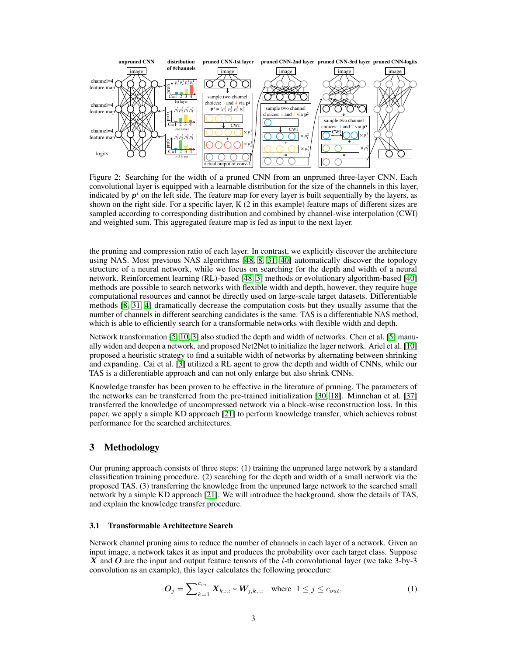

Figure 2: Searching for the width of a pruned CNN from an unpruned three-layer CNN. Each convolutional layer is equipped with a learnable distribution for the size of the channels in this layer, indicated by  $p<sup>i</sup>$  on the left side. The feature map for every layer is built sequentially by the layers, as shown on the right side. For a specific layer,  $K(2 \text{ in this example})$  feature maps of different sizes are sampled according to corresponding distribution and combined by channel-wise interpolation (CWI) and weighted sum. This aggregated feature map is fed as input to the next layer.

the pruning and compression ratio of each layer. In contrast, we explicitly discover the architecture using NAS. Most previous NAS algorithms [48, 8, 31, 40] automatically discover the topology structure of a neural network, while we focus on searching for the depth and width of a neural network. Reinforcement learning (RL)-based [48, 3] methods or evolutionary algorithm-based [40] methods are possible to search networks with flexible width and depth, however, they require huge computational resources and cannot be directly used on large-scale target datasets. Differentiable methods [8, 31, 4] dramatically decrease the computation costs but they usually assume that the number of channels in different searching candidates is the same. TAS is a differentiable NAS method, which is able to efficiently search for a transformable networks with flexible width and depth.

Network transformation [5, 10, 3] also studied the depth and width of networks. Chen et al. [5] manually widen and deepen a network, and proposed Net2Net to initialize the lager network. Ariel et al. [10] proposed a heuristic strategy to find a suitable width of networks by alternating between shrinking and expanding. Cai et al. [3] utilized a RL agent to grow the depth and width of CNNs, while our TAS is a differentiable approach and can not only enlarge but also shrink CNNs.

Knowledge transfer has been proven to be effective in the literature of pruning. The parameters of the networks can be transferred from the pre-trained initialization [30, 18]. Minnehan et al. [37] transferred the knowledge of uncompressed network via a block-wise reconstruction loss. In this paper, we apply a simple KD approach [21] to perform knowledge transfer, which achieves robust performance for the searched architectures.

## 3 Methodology

Our pruning approach consists of three steps: (1) training the unpruned large network by a standard classification training procedure. (2) searching for the depth and width of a small network via the proposed TAS. (3) transferring the knowledge from the unpruned large network to the searched small network by a simple KD approach [21]. We will introduce the background, show the details of TAS, and explain the knowledge transfer procedure.

#### 3.1 Transformable Architecture Search

Network channel pruning aims to reduce the number of channels in each layer of a network. Given an input image, a network takes it as input and produces the probability over each target class. Suppose X and O are the input and output feature tensors of the  $l$ -th convolutional layer (we take 3-by-3 convolution as an example), this layer calculates the following procedure:

$$
O_j = \sum_{k=1}^{c_{in}} X_{k, :, :} * W_{j, k, :, :} \text{ where } 1 \le j \le c_{out},
$$
 (1)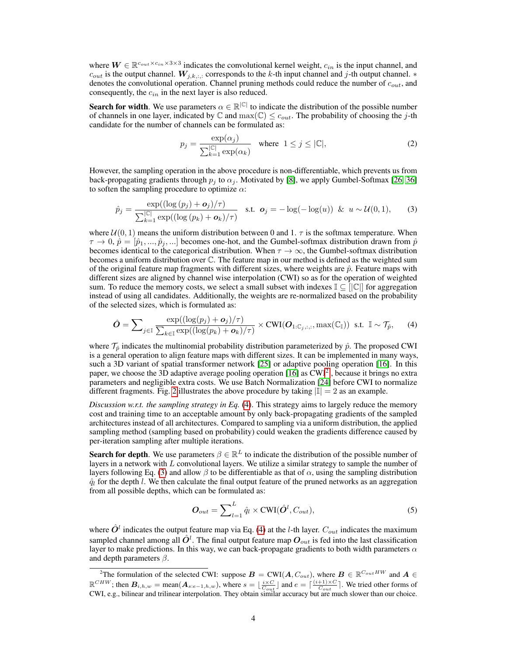where  $W \in \mathbb{R}^{c_{out} \times c_{in} \times 3 \times 3}$  indicates the convolutional kernel weight,  $c_{in}$  is the input channel, and  $c_{out}$  is the output channel.  $W_{j,k,:,:}$  corresponds to the k-th input channel and j-th output channel.  $*$ denotes the convolutional operation. Channel pruning methods could reduce the number of  $c_{out}$ , and consequently, the  $c_{in}$  in the next layer is also reduced.

**Search for width**. We use parameters  $\alpha \in \mathbb{R}^{|\mathbb{C}|}$  to indicate the distribution of the possible number of channels in one layer, indicated by  $\mathbb C$  and  $\max(\mathbb C) \leq c_{out}$ . The probability of choosing the j-th candidate for the number of channels can be formulated as:

$$
p_j = \frac{\exp(\alpha_j)}{\sum_{k=1}^{|C|} \exp(\alpha_k)} \quad \text{where} \quad 1 \le j \le |C|,\tag{2}
$$

However, the sampling operation in the above procedure is non-differentiable, which prevents us from back-propagating gradients through  $p_j$  to  $\alpha_j$ . Motivated by [8], we apply Gumbel-Softmax [26, 36] to soften the sampling procedure to optimize  $\alpha$ :

$$
\hat{p}_j = \frac{\exp((\log{(p_j)} + \mathbf{o}_j)/\tau)}{\sum_{k=1}^{|\mathbb{C}|} \exp((\log{(p_k)} + \mathbf{o}_k)/\tau)} \quad \text{s.t.} \quad \mathbf{o}_j = -\log(-\log(u)) \quad \& \quad u \sim \mathcal{U}(0, 1), \tag{3}
$$

where  $U(0, 1)$  means the uniform distribution between 0 and 1.  $\tau$  is the softmax temperature. When  $\tau \to 0$ ,  $\hat{p} = [\hat{p}_1, ..., \hat{p}_j, ...]$  becomes one-hot, and the Gumbel-softmax distribution drawn from  $\hat{p}$ becomes identical to the categorical distribution. When  $\tau \to \infty$ , the Gumbel-softmax distribution becomes a uniform distribution over C. The feature map in our method is defined as the weighted sum of the original feature map fragments with different sizes, where weights are  $\hat{p}$ . Feature maps with different sizes are aligned by channel wise interpolation (CWI) so as for the operation of weighted sum. To reduce the memory costs, we select a small subset with indexes  $\mathbb{I} \subseteq [\mathbb{C}]$  for aggregation instead of using all candidates. Additionally, the weights are re-normalized based on the probability of the selected sizes, which is formulated as:

$$
\hat{\boldsymbol{O}} = \sum_{j \in \mathbb{I}} \frac{\exp((\log(p_j) + \boldsymbol{o}_j)/\tau)}{\sum_{k \in \mathbb{I}} \exp((\log(p_k) + \boldsymbol{o}_k)/\tau)} \times \text{CWI}(\boldsymbol{O}_{1:C_j,:,:}, \max(\mathbb{C}_{\mathbb{I}})) \text{ s.t. } \mathbb{I} \sim \mathcal{T}_{\hat{p}}, \quad (4)
$$

where  $\mathcal{T}_{\hat{p}}$  indicates the multinomial probability distribution parameterized by  $\hat{p}$ . The proposed CWI is a general operation to align feature maps with different sizes. It can be implemented in many ways, such a 3D variant of spatial transformer network [25] or adaptive pooling operation [16]. In this paper, we choose the 3D adaptive average pooling operation [16] as  $\text{CWI}^2$  , because it brings no extra parameters and negligible extra costs. We use Batch Normalization [24] before CWI to normalize different fragments. Fig. 2 illustrates the above procedure by taking  $|\mathbb{I}| = 2$  as an example.

*Discussion w.r.t. the sampling strategy in Eq.* (4). This strategy aims to largely reduce the memory cost and training time to an acceptable amount by only back-propagating gradients of the sampled architectures instead of all architectures. Compared to sampling via a uniform distribution, the applied sampling method (sampling based on probability) could weaken the gradients difference caused by per-iteration sampling after multiple iterations.

**Search for depth**. We use parameters  $\beta \in \mathbb{R}^L$  to indicate the distribution of the possible number of layers in a network with  $L$  convolutional layers. We utilize a similar strategy to sample the number of layers following Eq. (3) and allow  $\beta$  to be differentiable as that of  $\alpha$ , using the sampling distribution  $\hat{q}_l$  for the depth l. We then calculate the final output feature of the pruned networks as an aggregation from all possible depths, which can be formulated as:

$$
\boldsymbol{O}_{out} = \sum_{l=1}^{L} \hat{q}_l \times \text{CWI}(\hat{\boldsymbol{O}}^l, C_{out}),
$$
\n(5)

where  $\hat{O}^l$  indicates the output feature map via Eq. (4) at the *l*-th layer.  $C_{out}$  indicates the maximum sampled channel among all  $\hat{O}^l$ . The final output feature map  $O_{out}$  is fed into the last classification layer to make predictions. In this way, we can back-propagate gradients to both width parameters  $\alpha$ and depth parameters  $\beta$ .

<sup>&</sup>lt;sup>2</sup>The formulation of the selected CWI: suppose  $B = \text{CWI}(A, C_{out})$ , where  $B \in \mathbb{R}^{C_{out}HW}$  and  $A \in$  $\mathbb{R}^{CHW}$ ; then  $B_{i,h,w} = \text{mean}(A_{s:e-1,h,w})$ , where  $s = \lfloor \frac{i \times C}{C_{out}} \rfloor$  and  $e = \lceil \frac{(i+1) \times C}{C_{out}} \rceil$ . We tried other forms of CWI, e.g., bilinear and trilinear interpolation. They obtain similar accuracy but are much slower than our choice.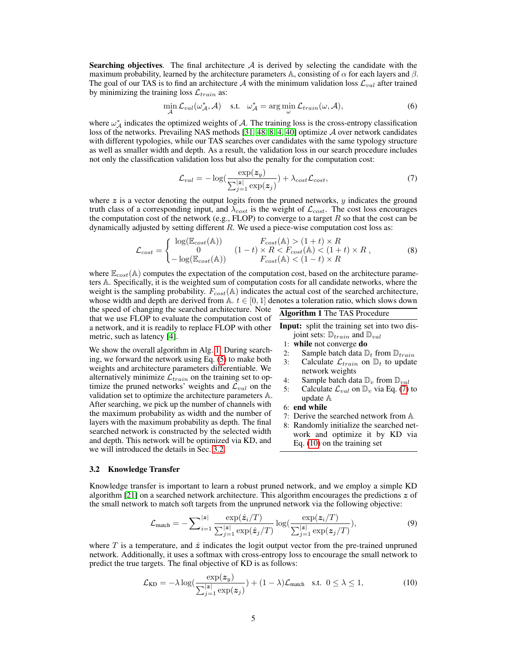**Searching objectives.** The final architecture  $\mathcal A$  is derived by selecting the candidate with the maximum probability, learned by the architecture parameters A, consisting of  $\alpha$  for each layers and  $\beta$ . The goal of our TAS is to find an architecture A with the minimum validation loss  $\mathcal{L}_{val}$  after trained by minimizing the training loss  $\mathcal{L}_{train}$  as:

$$
\min_{\mathcal{A}} \mathcal{L}_{val}(\omega_{\mathcal{A}}^{*}, \mathcal{A}) \quad \text{s.t.} \quad \omega_{\mathcal{A}}^{*} = \arg\min_{\omega} \mathcal{L}_{train}(\omega, \mathcal{A}), \tag{6}
$$

where  $\omega_A^*$  indicates the optimized weights of A. The training loss is the cross-entropy classification loss of the networks. Prevailing NAS methods [31, 48, 8, 4, 40] optimize A over network candidates with different typologies, while our TAS searches over candidates with the same typology structure as well as smaller width and depth. As a result, the validation loss in our search procedure includes not only the classification validation loss but also the penalty for the computation cost:

$$
\mathcal{L}_{val} = -\log(\frac{\exp(z_y)}{\sum_{j=1}^{|z|} \exp(z_j)}) + \lambda_{cost} \mathcal{L}_{cost},\tag{7}
$$

where  $z$  is a vector denoting the output logits from the pruned networks,  $y$  indicates the ground truth class of a corresponding input, and  $\lambda_{cost}$  is the weight of  $\mathcal{L}_{cost}$ . The cost loss encourages the computation cost of the network (e.g., FLOP) to converge to a target  $R$  so that the cost can be dynamically adjusted by setting different  $R$ . We used a piece-wise computation cost loss as:

$$
\mathcal{L}_{cost} = \begin{cases}\n\log(\mathbb{E}_{cost}(\mathbb{A})) & F_{cost}(\mathbb{A}) > (1+t) \times R \\
0 & (1-t) \times R < F_{cost}(\mathbb{A}) < (1+t) \times R \\
-\log(\mathbb{E}_{cost}(\mathbb{A})) & F_{cost}(\mathbb{A}) < (1-t) \times R\n\end{cases} \tag{8}
$$

where  $\mathbb{E}_{cost}(\mathbb{A})$  computes the expectation of the computation cost, based on the architecture parameters A. Specifically, it is the weighted sum of computation costs for all candidate networks, where the weight is the sampling probability.  $F_{cost}(\mathbb{A})$  indicates the actual cost of the searched architecture, whose width and depth are derived from  $\mathbb{A}$ .  $t \in [0, 1]$  denotes a toleration ratio, which slows down Algorithm 1 The TAS Procedure the speed of changing the searched architecture. Note that we use FLOP to evaluate the computation cost of

a network, and it is readily to replace FLOP with other metric, such as latency [4].

We show the overall algorithm in Alg. 1. During searching, we forward the network using Eq. (5) to make both weights and architecture parameters differentiable. We alternatively minimize  $\mathcal{L}_{train}$  on the training set to optimize the pruned networks' weights and  $\mathcal{L}_{val}$  on the validation set to optimize the architecture parameters A. After searching, we pick up the number of channels with the maximum probability as width and the number of layers with the maximum probability as depth. The final searched network is constructed by the selected width and depth. This network will be optimized via KD, and we will introduced the details in Sec. 3.2.

# 3.2 Knowledge Transfer

- Input: split the training set into two disjoint sets:  $\mathbb{D}_{train}$  and  $\mathbb{D}_{val}$
- 1: while not converge do
- 2: Sample batch data  $\mathbb{D}_t$  from  $\mathbb{D}_{train}$
- 3: Calculate  $\mathcal{L}_{train}$  on  $\mathbb{D}_t$  to update network weights
- 4: Sample batch data  $\mathbb{D}_v$  from  $\mathbb{D}_{val}$ <br>5: Calculate  $\mathcal{L}_{val}$  on  $\mathbb{D}_v$  via Eq. (7)
- Calculate  $\mathcal{L}_{val}$  on  $\mathbb{D}_v$  via Eq. (7) to update A
- 6: end while
- 7: Derive the searched network from A
- 8: Randomly initialize the searched network and optimize it by KD via Eq. (10) on the training set

Knowledge transfer is important to learn a robust pruned network, and we employ a simple KD algorithm [21] on a searched network architecture. This algorithm encourages the predictions  $z$  of the small network to match soft targets from the unpruned network via the following objective:

$$
\mathcal{L}_{\text{match}} = -\sum_{i=1}^{|z|} \frac{\exp(\hat{z}_i/T)}{\sum_{j=1}^{|z|} \exp(\hat{z}_j/T)} \log(\frac{\exp(z_i/T)}{\sum_{j=1}^{|z|} \exp(z_j/T)}),\tag{9}
$$

where T is a temperature, and  $\hat{z}$  indicates the logit output vector from the pre-trained unpruned network. Additionally, it uses a softmax with cross-entropy loss to encourage the small network to predict the true targets. The final objective of KD is as follows:

$$
\mathcal{L}_{\text{KD}} = -\lambda \log \left( \frac{\exp(z_y)}{\sum_{j=1}^{|z|} \exp(z_j)} \right) + (1 - \lambda) \mathcal{L}_{\text{match}} \quad \text{s.t.} \quad 0 \le \lambda \le 1,\tag{10}
$$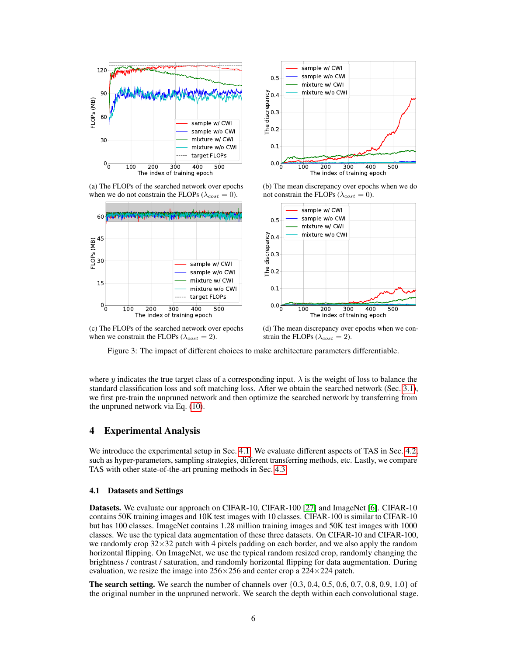



(a) The FLOPs of the searched network over epochs when we do not constrain the FLOPs ( $\lambda_{cost} = 0$ ).



(b) The mean discrepancy over epochs when we do not constrain the FLOPs ( $\lambda_{cost} = 0$ ).



(c) The FLOPs of the searched network over epochs when we constrain the FLOPs ( $\lambda_{cost} = 2$ ).

(d) The mean discrepancy over epochs when we constrain the FLOPs ( $\lambda_{cost} = 2$ ).

Figure 3: The impact of different choices to make architecture parameters differentiable.

where y indicates the true target class of a corresponding input.  $\lambda$  is the weight of loss to balance the standard classification loss and soft matching loss. After we obtain the searched network (Sec. 3.1), we first pre-train the unpruned network and then optimize the searched network by transferring from the unpruned network via Eq. (10).

## 4 Experimental Analysis

We introduce the experimental setup in Sec. 4.1. We evaluate different aspects of TAS in Sec. 4.2, such as hyper-parameters, sampling strategies, different transferring methods, etc. Lastly, we compare TAS with other state-of-the-art pruning methods in Sec. 4.3.

#### 4.1 Datasets and Settings

Datasets. We evaluate our approach on CIFAR-10, CIFAR-100 [27] and ImageNet [6]. CIFAR-10 contains 50K training images and 10K test images with 10 classes. CIFAR-100 is similar to CIFAR-10 but has 100 classes. ImageNet contains 1.28 million training images and 50K test images with 1000 classes. We use the typical data augmentation of these three datasets. On CIFAR-10 and CIFAR-100, we randomly crop  $32\times32$  patch with 4 pixels padding on each border, and we also apply the random horizontal flipping. On ImageNet, we use the typical random resized crop, randomly changing the brightness / contrast / saturation, and randomly horizontal flipping for data augmentation. During evaluation, we resize the image into  $256 \times 256$  and center crop a  $224 \times 224$  patch.

**The search setting.** We search the number of channels over  $\{0.3, 0.4, 0.5, 0.6, 0.7, 0.8, 0.9, 1.0\}$  of the original number in the unpruned network. We search the depth within each convolutional stage.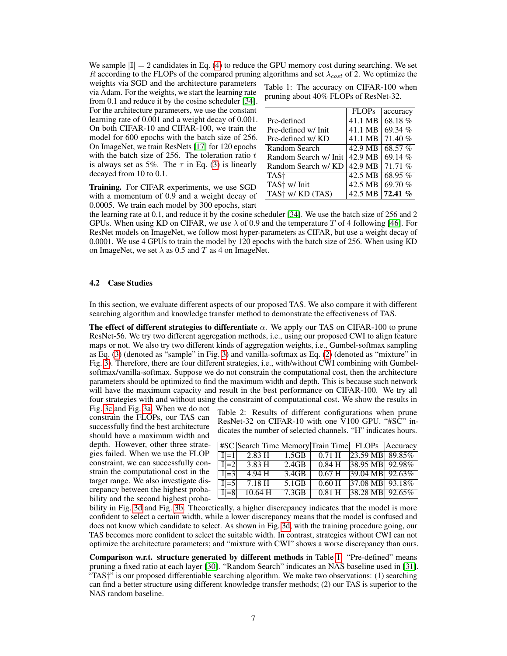We sample  $|\mathbb{I}| = 2$  candidates in Eq. (4) to reduce the GPU memory cost during searching. We set R according to the FLOPs of the compared pruning algorithms and set  $\lambda_{cost}$  of 2. We optimize the weights via SGD and the architecture parameters via Adam. For the weights, we start the learning rate from 0.1 and reduce it by the cosine scheduler [34]. For the architecture parameters, we use the constant learning rate of 0.001 and a weight decay of 0.001. On both CIFAR-10 and CIFAR-100, we train the model for 600 epochs with the batch size of 256. On ImageNet, we train ResNets [17] for 120 epochs with the batch size of  $256$ . The toleration ratio  $t$ is always set as 5%. The  $\tau$  in Eq. (3) is linearly decayed from 10 to 0.1.

Training. For CIFAR experiments, we use SGD with a momentum of 0.9 and a weight decay of 0.0005. We train each model by 300 epochs, start

Table 1: The accuracy on CIFAR-100 when pruning about 40% FLOPs of ResNet-32.

|                              | <b>FLOPs</b> | accuracy  |
|------------------------------|--------------|-----------|
| Pre-defined                  | 41.1 MB      | 68.18%    |
| Pre-defined w/ Init          | 41.1 MB      | 69.34 %   |
| Pre-defined w/ KD            | 41.1 MB      | 71.40 %   |
| Random Search                | 42.9 MB      | 68.57 %   |
| Random Search w/ Init        | 42.9 MB      | 69.14 $%$ |
| Random Search w/KD           | 42.9 MB      | 71.71%    |
| TAS <sup>†</sup>             | 42.5 MB      | $68.95\%$ |
| TAS <sup>†</sup> w/ Init     | 42.5 MB      | 69.70%    |
| TAS <sup>†</sup> w/ KD (TAS) | 42.5 MB      | 72.41 %   |
|                              |              |           |

the learning rate at 0.1, and reduce it by the cosine scheduler [34]. We use the batch size of 256 and 2 GPUs. When using KD on CIFAR, we use  $\lambda$  of 0.9 and the temperature T of 4 following [46]. For ResNet models on ImageNet, we follow most hyper-parameters as CIFAR, but use a weight decay of 0.0001. We use 4 GPUs to train the model by 120 epochs with the batch size of 256. When using KD on ImageNet, we set  $\lambda$  as 0.5 and T as 4 on ImageNet.

#### 4.2 Case Studies

In this section, we evaluate different aspects of our proposed TAS. We also compare it with different searching algorithm and knowledge transfer method to demonstrate the effectiveness of TAS.

The effect of different strategies to differentiate  $\alpha$ . We apply our TAS on CIFAR-100 to prune ResNet-56. We try two different aggregation methods, i.e., using our proposed CWI to align feature maps or not. We also try two different kinds of aggregation weights, i.e., Gumbel-softmax sampling as Eq. (3) (denoted as "sample" in Fig. 3) and vanilla-softmax as Eq. (2) (denoted as "mixture" in Fig. 3). Therefore, there are four different strategies, i.e., with/without CWI combining with Gumbelsoftmax/vanilla-softmax. Suppose we do not constrain the computational cost, then the architecture parameters should be optimized to find the maximum width and depth. This is because such network will have the maximum capacity and result in the best performance on CIFAR-100. We try all four strategies with and without using the constraint of computational cost. We show the results in

Fig. 3c and Fig. 3a. When we do not constrain the FLOPs, our TAS can successfully find the best architecture should have a maximum width and depth. However, other three strategies failed. When we use the FLOP constraint, we can successfully constrain the computational cost in the target range. We also investigate discrepancy between the highest probability and the second highest proba-

|  | Table 2: Results of different configurations when prune       |  |  |  |
|--|---------------------------------------------------------------|--|--|--|
|  | ResNet-32 on CIFAR-10 with one V100 GPU. "#SC" in-            |  |  |  |
|  | dicates the number of selected channels. "H" indicates hours. |  |  |  |

|                         | <b>#SC</b> Search Time Memory Train Time FLOPs Accuracy                      |          |                                |                             |  |
|-------------------------|------------------------------------------------------------------------------|----------|--------------------------------|-----------------------------|--|
|                         | $\begin{array}{ c c c c } \hline \end{array}$ = 1 2.83 H                     |          | $1.5GB$ 0.71 H 23.59 MB 89.85% |                             |  |
|                         | $\begin{array}{ c c c c } \hline \text{  } = 2 & 3.83 \text{ H} \end{array}$ | $2.4$ GB | 0.84 H                         | $38.95 \text{ MB}$ 92.98%   |  |
| $\sqrt{\mathbb{I}[-3]}$ | 4.94H                                                                        | 3.4GB    | $0.67$ H                       | $ 39.04 \text{ MB} $ 92.63% |  |
|                         | $\sqrt{15-5}$ 7.18 H                                                         | 5.1GB    | 0.60 H                         | 37.08 MB 93.18%             |  |
|                         | $\sqrt{ \mathbb{I}  = 8}$ 10.64 H                                            | 7.3GB    | 0.81H                          | 38.28 MB 92.65%             |  |

bility in Fig. 3d and Fig. 3b. Theoretically, a higher discrepancy indicates that the model is more confident to select a certain width, while a lower discrepancy means that the model is confused and does not know which candidate to select. As shown in Fig. 3d, with the training procedure going, our TAS becomes more confident to select the suitable width. In contrast, strategies without CWI can not optimize the architecture parameters; and "mixture with CWI" shows a worse discrepancy than ours.

Comparison w.r.t. structure generated by different methods in Table 1. "Pre-defined" means pruning a fixed ratio at each layer [30]. "Random Search" indicates an NAS baseline used in [31]. "TAS<sup>+</sup>" is our proposed differentiable searching algorithm. We make two observations: (1) searching can find a better structure using different knowledge transfer methods; (2) our TAS is superior to the NAS random baseline.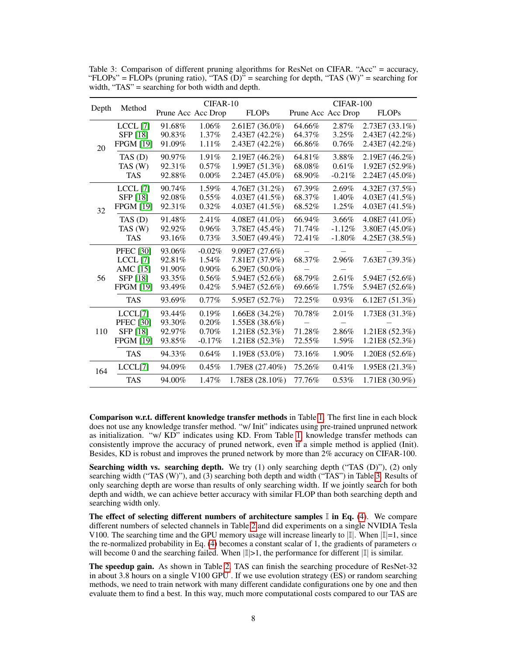|       | Method           | CIFAR-10           |          |                   | CIFAR-100          |           |                  |
|-------|------------------|--------------------|----------|-------------------|--------------------|-----------|------------------|
| Depth |                  | Prune Acc Acc Drop |          | <b>FLOPs</b>      | Prune Acc Acc Drop |           | <b>FLOPs</b>     |
|       | $LCL$ [7]        | 91.68%             | $1.06\%$ | $2.61E7(36.0\%)$  | 64.66%             | 2.87%     | 2.73E7 (33.1%)   |
|       | SFP [18]         | 90.83%             | 1.37%    | 2.43E7 (42.2%)    | 64.37%             | 3.25%     | 2.43E7 (42.2%)   |
| 20    | <b>FPGM</b> [19] | 91.09%             | 1.11%    | 2.43E7 (42.2%)    | 66.86%             | 0.76%     | 2.43E7 (42.2%)   |
|       | $TAS$ (D)        | 90.97%             | 1.91%    | 2.19E7 (46.2%)    | 64.81%             | 3.88%     | 2.19E7 (46.2%)   |
|       | TAS $(W)$        | 92.31%             | $0.57\%$ | 1.99E7 (51.3%)    | 68.08%             | 0.61%     | 1.92E7 (52.9%)   |
|       | <b>TAS</b>       | 92.88%             | $0.00\%$ | 2.24E7 (45.0%)    | 68.90%             | $-0.21%$  | 2.24E7 (45.0%)   |
|       | $LCL$ [7]        | 90.74%             | 1.59%    | 4.76E7 (31.2%)    | 67.39%             | $2.69\%$  | 4.32E7 (37.5%)   |
|       | <b>SFP</b> [18]  | 92.08%             | 0.55%    | 4.03E7(41.5%)     | 68.37%             | 1.40%     | 4.03E7(41.5%)    |
| 32    | <b>FPGM</b> [19] | 92.31%             | $0.32\%$ | 4.03E7(41.5%)     | 68.52%             | 1.25%     | 4.03E7 (41.5%)   |
|       | TAS $(D)$        | 91.48%             | 2.41%    | 4.08E7 (41.0%)    | 66.94%             | 3.66%     | $4.08E7(41.0\%)$ |
|       | TAS $(W)$        | 92.92%             | 0.96%    | 3.78E7 (45.4%)    | 71.74%             | $-1.12%$  | 3.80E7 (45.0%)   |
|       | <b>TAS</b>       | 93.16%             | 0.73%    | 3.50E7 (49.4%)    | 72.41%             | $-1.80\%$ | 4.25E7 (38.5%)   |
|       | <b>PFEC</b> [30] | 93.06%             | $-0.02%$ | 9.09E7 (27.6%)    |                    |           |                  |
| 56    | $LCL$ [7]        | 92.81%             | 1.54%    | 7.81E7 (37.9%)    | 68.37%             | 2.96%     | 7.63E7 (39.3%)   |
|       | AMC [15]         | 91.90%             | $0.90\%$ | 6.29E7 $(50.0\%)$ |                    |           |                  |
|       | SFP [18]         | 93.35%             | 0.56%    | 5.94E7 (52.6%)    | 68.79%             | 2.61%     | 5.94E7 (52.6%)   |
|       | <b>FPGM [19]</b> | 93.49%             | 0.42%    | 5.94E7 (52.6%)    | 69.66%             | 1.75%     | 5.94E7 (52.6%)   |
|       | <b>TAS</b>       | 93.69%             | $0.77\%$ | 5.95E7 (52.7%)    | 72.25%             | 0.93%     | 6.12E7(51.3%)    |
|       | LCL[7]           | 93.44%             | 0.19%    | 1.66E8 (34.2%)    | 70.78%             | $2.01\%$  | 1.73E8 (31.3%)   |
| 110   | <b>PFEC</b> [30] | 93.30%             | 0.20%    | 1.55E8 (38.6%)    |                    |           |                  |
|       | SFP [18]         | 92.97%             | 0.70%    | 1.21E8 (52.3%)    | 71.28%             | 2.86%     | 1.21E8 (52.3%)   |
|       | <b>FPGM [19]</b> | 93.85%             | $-0.17%$ | 1.21E8 (52.3%)    | 72.55%             | 1.59%     | 1.21E8 (52.3%)   |
|       | <b>TAS</b>       | 94.33%             | $0.64\%$ | $1.19E8(53.0\%)$  | 73.16%             | 1.90%     | $1.20E8(52.6\%)$ |
| 164   | LCL[7]           | 94.09%             | 0.45%    | 1.79E8 (27.40%)   | 75.26%             | 0.41%     | 1.95E8 (21.3%)   |
|       | <b>TAS</b>       | 94.00%             | 1.47%    | 1.78E8 (28.10%)   | 77.76%             | $0.53\%$  | 1.71E8 (30.9%)   |

Table 3: Comparison of different pruning algorithms for ResNet on CIFAR. "Acc" = accuracy, "FLOPs" = FLOPs (pruning ratio), "TAS  $(D)$ " = searching for depth, "TAS  $(W)$ " = searching for width, "TAS" = searching for both width and depth.

Comparison w.r.t. different knowledge transfer methods in Table 1. The first line in each block does not use any knowledge transfer method. "w/ Init" indicates using pre-trained unpruned network as initialization. "w/ KD" indicates using KD. From Table 1, knowledge transfer methods can consistently improve the accuracy of pruned network, even if a simple method is applied (Init). Besides, KD is robust and improves the pruned network by more than 2% accuracy on CIFAR-100.

**Searching width vs. searching depth.** We try  $(1)$  only searching depth ("TAS  $(D)$ "),  $(2)$  only searching width ("TAS (W)"), and (3) searching both depth and width ("TAS") in Table 3. Results of only searching depth are worse than results of only searching width. If we jointly search for both depth and width, we can achieve better accuracy with similar FLOP than both searching depth and searching width only.

The effect of selecting different numbers of architecture samples  $\mathbb I$  in Eq. (4). We compare different numbers of selected channels in Table 2 and did experiments on a single NVIDIA Tesla V100. The searching time and the GPU memory usage will increase linearly to  $|\mathbb{I}|$ . When  $|\mathbb{I}|=1$ , since the re-normalized probability in Eq. (4) becomes a constant scalar of 1, the gradients of parameters  $\alpha$ will become 0 and the searching failed. When  $|\mathbb{I}| > 1$ , the performance for different  $|\mathbb{I}|$  is similar.

The speedup gain. As shown in Table 2, TAS can finish the searching procedure of ResNet-32 in about 3.8 hours on a single V100 GPU . If we use evolution strategy (ES) or random searching methods, we need to train network with many different candidate configurations one by one and then evaluate them to find a best. In this way, much more computational costs compared to our TAS are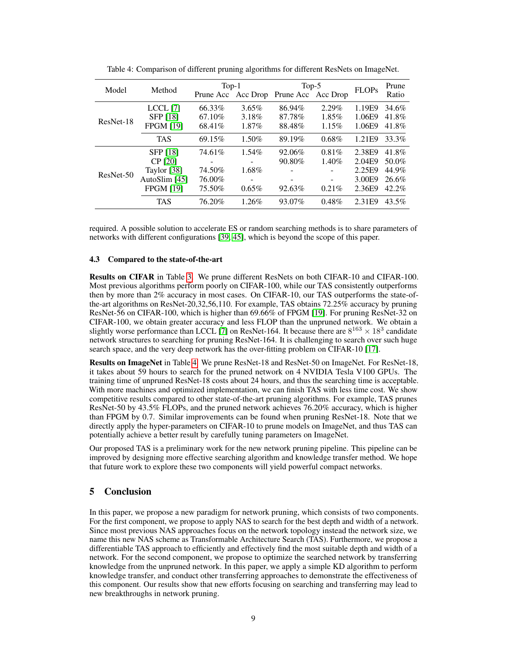| Model     | Method              | $Top-1$            |                          | Top- $5$           |          | <b>FLOPs</b>       | Prune |
|-----------|---------------------|--------------------|--------------------------|--------------------|----------|--------------------|-------|
|           |                     | Prune Acc Acc Drop |                          | Prune Acc Acc Drop |          |                    | Ratio |
|           | LCCL <sub>[7]</sub> | 66.33%             | $3.65\%$                 | 86.94%             | $2.29\%$ | 1.19E9             | 34.6% |
| ResNet-18 | SFP [18]            | 67.10%             | 3.18%                    | 87.78%             | $1.85\%$ | 1.06E9             | 41.8% |
|           | <b>FPGM [19]</b>    | 68.41%             | $1.87\%$                 | 88.48%             | 1.15%    | 1.06E9             | 41.8% |
|           | <b>TAS</b>          | 69.15%             | $1.50\%$                 | 89.19%             | 0.68%    | 1.21E9             | 33.3% |
| ResNet-50 | <b>SFP</b> [18]     | 74.61%             | $1.54\%$                 | 92.06%             | 0.81%    | 2.38 <sub>E9</sub> | 41.8% |
|           | CP [20]             |                    |                          | 90.80%             | 1.40%    | 2.04E9             | 50.0% |
|           | Taylor [38]         | 74.50%             | 1.68%                    |                    |          | 2.25 <sub>E9</sub> | 44.9% |
|           | AutoSlim [45]       | 76.00%             | $\overline{\phantom{0}}$ |                    |          | 3.00E9             | 26.6% |
|           | <b>FPGM [19]</b>    | 75.50%             | 0.65%                    | 92.63%             | 0.21%    | 2.36E9             | 42.2% |
|           | <b>TAS</b>          | 76.20%             | $1.26\%$                 | 93.07%             | 0.48%    | 2.31 <sub>E9</sub> | 43.5% |

Table 4: Comparison of different pruning algorithms for different ResNets on ImageNet.

required. A possible solution to accelerate ES or random searching methods is to share parameters of networks with different configurations [39, 45], which is beyond the scope of this paper.

### 4.3 Compared to the state-of-the-art

Results on CIFAR in Table 3. We prune different ResNets on both CIFAR-10 and CIFAR-100. Most previous algorithms perform poorly on CIFAR-100, while our TAS consistently outperforms then by more than 2% accuracy in most cases. On CIFAR-10, our TAS outperforms the state-ofthe-art algorithms on ResNet-20,32,56,110. For example, TAS obtains 72.25% accuracy by pruning ResNet-56 on CIFAR-100, which is higher than 69.66% of FPGM [19]. For pruning ResNet-32 on CIFAR-100, we obtain greater accuracy and less FLOP than the unpruned network. We obtain a slightly worse performance than LCCL [7] on ResNet-164. It because there are  $8^{163} \times 18^3$  candidate network structures to searching for pruning ResNet-164. It is challenging to search over such huge search space, and the very deep network has the over-fitting problem on CIFAR-10 [17].

Results on ImageNet in Table 4. We prune ResNet-18 and ResNet-50 on ImageNet. For ResNet-18, it takes about 59 hours to search for the pruned network on 4 NVIDIA Tesla V100 GPUs. The training time of unpruned ResNet-18 costs about 24 hours, and thus the searching time is acceptable. With more machines and optimized implementation, we can finish TAS with less time cost. We show competitive results compared to other state-of-the-art pruning algorithms. For example, TAS prunes ResNet-50 by 43.5% FLOPs, and the pruned network achieves 76.20% accuracy, which is higher than FPGM by 0.7. Similar improvements can be found when pruning ResNet-18. Note that we directly apply the hyper-parameters on CIFAR-10 to prune models on ImageNet, and thus TAS can potentially achieve a better result by carefully tuning parameters on ImageNet.

Our proposed TAS is a preliminary work for the new network pruning pipeline. This pipeline can be improved by designing more effective searching algorithm and knowledge transfer method. We hope that future work to explore these two components will yield powerful compact networks.

# 5 Conclusion

In this paper, we propose a new paradigm for network pruning, which consists of two components. For the first component, we propose to apply NAS to search for the best depth and width of a network. Since most previous NAS approaches focus on the network topology instead the network size, we name this new NAS scheme as Transformable Architecture Search (TAS). Furthermore, we propose a differentiable TAS approach to efficiently and effectively find the most suitable depth and width of a network. For the second component, we propose to optimize the searched network by transferring knowledge from the unpruned network. In this paper, we apply a simple KD algorithm to perform knowledge transfer, and conduct other transferring approaches to demonstrate the effectiveness of this component. Our results show that new efforts focusing on searching and transferring may lead to new breakthroughs in network pruning.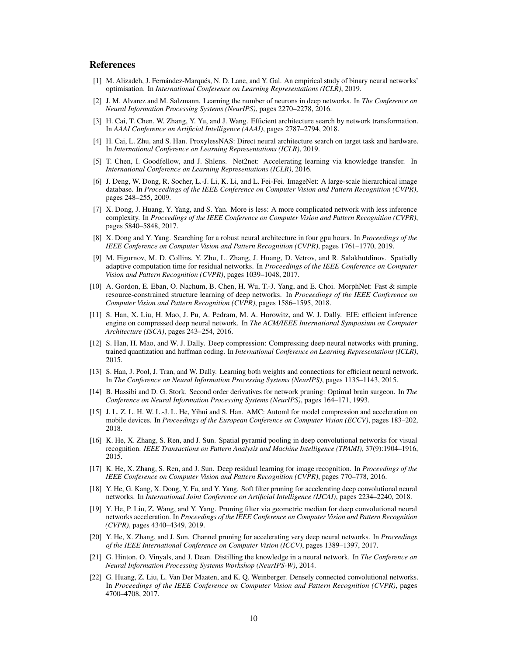## References

- [1] M. Alizadeh, J. Fernández-Marqués, N. D. Lane, and Y. Gal. An empirical study of binary neural networks' optimisation. In *International Conference on Learning Representations (ICLR)*, 2019.
- [2] J. M. Alvarez and M. Salzmann. Learning the number of neurons in deep networks. In *The Conference on Neural Information Processing Systems (NeurIPS)*, pages 2270–2278, 2016.
- [3] H. Cai, T. Chen, W. Zhang, Y. Yu, and J. Wang. Efficient architecture search by network transformation. In *AAAI Conference on Artificial Intelligence (AAAI)*, pages 2787–2794, 2018.
- [4] H. Cai, L. Zhu, and S. Han. ProxylessNAS: Direct neural architecture search on target task and hardware. In *International Conference on Learning Representations (ICLR)*, 2019.
- [5] T. Chen, I. Goodfellow, and J. Shlens. Net2net: Accelerating learning via knowledge transfer. In *International Conference on Learning Representations (ICLR)*, 2016.
- [6] J. Deng, W. Dong, R. Socher, L.-J. Li, K. Li, and L. Fei-Fei. ImageNet: A large-scale hierarchical image database. In *Proceedings of the IEEE Conference on Computer Vision and Pattern Recognition (CVPR)*, pages 248–255, 2009.
- [7] X. Dong, J. Huang, Y. Yang, and S. Yan. More is less: A more complicated network with less inference complexity. In *Proceedings of the IEEE Conference on Computer Vision and Pattern Recognition (CVPR)*, pages 5840–5848, 2017.
- [8] X. Dong and Y. Yang. Searching for a robust neural architecture in four gpu hours. In *Proceedings of the IEEE Conference on Computer Vision and Pattern Recognition (CVPR)*, pages 1761–1770, 2019.
- [9] M. Figurnov, M. D. Collins, Y. Zhu, L. Zhang, J. Huang, D. Vetrov, and R. Salakhutdinov. Spatially adaptive computation time for residual networks. In *Proceedings of the IEEE Conference on Computer Vision and Pattern Recognition (CVPR)*, pages 1039–1048, 2017.
- [10] A. Gordon, E. Eban, O. Nachum, B. Chen, H. Wu, T.-J. Yang, and E. Choi. MorphNet: Fast & simple resource-constrained structure learning of deep networks. In *Proceedings of the IEEE Conference on Computer Vision and Pattern Recognition (CVPR)*, pages 1586–1595, 2018.
- [11] S. Han, X. Liu, H. Mao, J. Pu, A. Pedram, M. A. Horowitz, and W. J. Dally. EIE: efficient inference engine on compressed deep neural network. In *The ACM/IEEE International Symposium on Computer Architecture (ISCA)*, pages 243–254, 2016.
- [12] S. Han, H. Mao, and W. J. Dally. Deep compression: Compressing deep neural networks with pruning, trained quantization and huffman coding. In *International Conference on Learning Representations (ICLR)*, 2015.
- [13] S. Han, J. Pool, J. Tran, and W. Dally. Learning both weights and connections for efficient neural network. In *The Conference on Neural Information Processing Systems (NeurIPS)*, pages 1135–1143, 2015.
- [14] B. Hassibi and D. G. Stork. Second order derivatives for network pruning: Optimal brain surgeon. In *The Conference on Neural Information Processing Systems (NeurIPS)*, pages 164–171, 1993.
- [15] J. L. Z. L. H. W. L.-J. L. He, Yihui and S. Han. AMC: Automl for model compression and acceleration on mobile devices. In *Proceedings of the European Conference on Computer Vision (ECCV)*, pages 183–202, 2018.
- [16] K. He, X. Zhang, S. Ren, and J. Sun. Spatial pyramid pooling in deep convolutional networks for visual recognition. *IEEE Transactions on Pattern Analysis and Machine Intelligence (TPAMI)*, 37(9):1904–1916, 2015.
- [17] K. He, X. Zhang, S. Ren, and J. Sun. Deep residual learning for image recognition. In *Proceedings of the IEEE Conference on Computer Vision and Pattern Recognition (CVPR)*, pages 770–778, 2016.
- [18] Y. He, G. Kang, X. Dong, Y. Fu, and Y. Yang. Soft filter pruning for accelerating deep convolutional neural networks. In *International Joint Conference on Artificial Intelligence (IJCAI)*, pages 2234–2240, 2018.
- [19] Y. He, P. Liu, Z. Wang, and Y. Yang. Pruning filter via geometric median for deep convolutional neural networks acceleration. In *Proceedings of the IEEE Conference on Computer Vision and Pattern Recognition (CVPR)*, pages 4340–4349, 2019.
- [20] Y. He, X. Zhang, and J. Sun. Channel pruning for accelerating very deep neural networks. In *Proceedings of the IEEE International Conference on Computer Vision (ICCV)*, pages 1389–1397, 2017.
- [21] G. Hinton, O. Vinyals, and J. Dean. Distilling the knowledge in a neural network. In *The Conference on Neural Information Processing Systems Workshop (NeurIPS-W)*, 2014.
- [22] G. Huang, Z. Liu, L. Van Der Maaten, and K. Q. Weinberger. Densely connected convolutional networks. In *Proceedings of the IEEE Conference on Computer Vision and Pattern Recognition (CVPR)*, pages 4700–4708, 2017.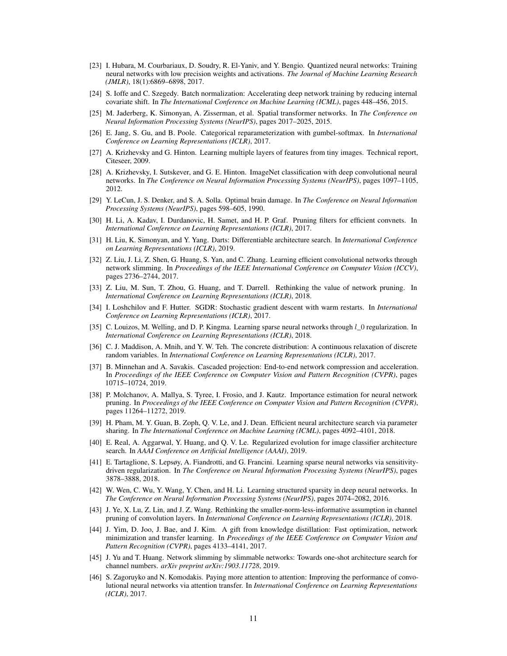- [23] I. Hubara, M. Courbariaux, D. Soudry, R. El-Yaniv, and Y. Bengio. Quantized neural networks: Training neural networks with low precision weights and activations. *The Journal of Machine Learning Research (JMLR)*, 18(1):6869–6898, 2017.
- [24] S. Ioffe and C. Szegedy. Batch normalization: Accelerating deep network training by reducing internal covariate shift. In *The International Conference on Machine Learning (ICML)*, pages 448–456, 2015.
- [25] M. Jaderberg, K. Simonyan, A. Zisserman, et al. Spatial transformer networks. In *The Conference on Neural Information Processing Systems (NeurIPS)*, pages 2017–2025, 2015.
- [26] E. Jang, S. Gu, and B. Poole. Categorical reparameterization with gumbel-softmax. In *International Conference on Learning Representations (ICLR)*, 2017.
- [27] A. Krizhevsky and G. Hinton. Learning multiple layers of features from tiny images. Technical report, Citeseer, 2009.
- [28] A. Krizhevsky, I. Sutskever, and G. E. Hinton. ImageNet classification with deep convolutional neural networks. In *The Conference on Neural Information Processing Systems (NeurIPS)*, pages 1097–1105, 2012.
- [29] Y. LeCun, J. S. Denker, and S. A. Solla. Optimal brain damage. In *The Conference on Neural Information Processing Systems (NeurIPS)*, pages 598–605, 1990.
- [30] H. Li, A. Kadav, I. Durdanovic, H. Samet, and H. P. Graf. Pruning filters for efficient convnets. In *International Conference on Learning Representations (ICLR)*, 2017.
- [31] H. Liu, K. Simonyan, and Y. Yang. Darts: Differentiable architecture search. In *International Conference on Learning Representations (ICLR)*, 2019.
- [32] Z. Liu, J. Li, Z. Shen, G. Huang, S. Yan, and C. Zhang. Learning efficient convolutional networks through network slimming. In *Proceedings of the IEEE International Conference on Computer Vision (ICCV)*, pages 2736–2744, 2017.
- [33] Z. Liu, M. Sun, T. Zhou, G. Huang, and T. Darrell. Rethinking the value of network pruning. In *International Conference on Learning Representations (ICLR)*, 2018.
- [34] I. Loshchilov and F. Hutter. SGDR: Stochastic gradient descent with warm restarts. In *International Conference on Learning Representations (ICLR)*, 2017.
- [35] C. Louizos, M. Welling, and D. P. Kingma. Learning sparse neural networks through  $l_0$  regularization. In *International Conference on Learning Representations (ICLR)*, 2018.
- [36] C. J. Maddison, A. Mnih, and Y. W. Teh. The concrete distribution: A continuous relaxation of discrete random variables. In *International Conference on Learning Representations (ICLR)*, 2017.
- [37] B. Minnehan and A. Savakis. Cascaded projection: End-to-end network compression and acceleration. In *Proceedings of the IEEE Conference on Computer Vision and Pattern Recognition (CVPR)*, pages 10715–10724, 2019.
- [38] P. Molchanov, A. Mallya, S. Tyree, I. Frosio, and J. Kautz. Importance estimation for neural network pruning. In *Proceedings of the IEEE Conference on Computer Vision and Pattern Recognition (CVPR)*, pages 11264–11272, 2019.
- [39] H. Pham, M. Y. Guan, B. Zoph, Q. V. Le, and J. Dean. Efficient neural architecture search via parameter sharing. In *The International Conference on Machine Learning (ICML)*, pages 4092–4101, 2018.
- [40] E. Real, A. Aggarwal, Y. Huang, and Q. V. Le. Regularized evolution for image classifier architecture search. In *AAAI Conference on Artificial Intelligence (AAAI)*, 2019.
- [41] E. Tartaglione, S. Lepsøy, A. Fiandrotti, and G. Francini. Learning sparse neural networks via sensitivitydriven regularization. In *The Conference on Neural Information Processing Systems (NeurIPS)*, pages 3878–3888, 2018.
- [42] W. Wen, C. Wu, Y. Wang, Y. Chen, and H. Li. Learning structured sparsity in deep neural networks. In *The Conference on Neural Information Processing Systems (NeurIPS)*, pages 2074–2082, 2016.
- [43] J. Ye, X. Lu, Z. Lin, and J. Z. Wang. Rethinking the smaller-norm-less-informative assumption in channel pruning of convolution layers. In *International Conference on Learning Representations (ICLR)*, 2018.
- [44] J. Yim, D. Joo, J. Bae, and J. Kim. A gift from knowledge distillation: Fast optimization, network minimization and transfer learning. In *Proceedings of the IEEE Conference on Computer Vision and Pattern Recognition (CVPR)*, pages 4133–4141, 2017.
- [45] J. Yu and T. Huang. Network slimming by slimmable networks: Towards one-shot architecture search for channel numbers. *arXiv preprint arXiv:1903.11728*, 2019.
- [46] S. Zagoruyko and N. Komodakis. Paying more attention to attention: Improving the performance of convolutional neural networks via attention transfer. In *International Conference on Learning Representations (ICLR)*, 2017.